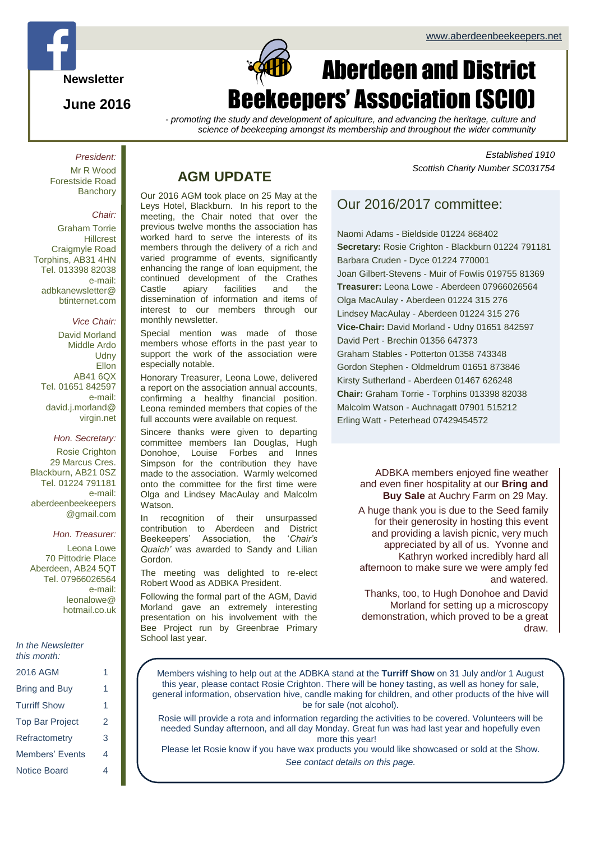

### **June 2016**

# Page 1 of  $\alpha$ Aberdeen and District ekeepers' Association (SCIO)

*- promoting the study and development of apiculture, and advancing the heritage, culture and science of beekeeping amongst its membership and throughout the wider community*

*President:* Mr R Wood Forestside Road **Banchory** 

#### *Chair:*

Graham Torrie **Hillcrest** Craigmyle Road Torphins, AB31 4HN Tel. 013398 82038 e-mail: adbkanewsletter@ btinternet.com

#### *Vice Chair:*

David Morland Middle Ardo **Udny** Ellon AB41 6QX Tel. 01651 842597 e-mail: david.j.morland@ virgin.net

#### *Hon. Secretary:*

Rosie Crighton 29 Marcus Cres. Blackburn, AB21 0SZ Tel. 01224 791181 e-mail: aberdeenbeekeepers @gmail.com

#### *Hon. Treasurer:*

Leona Lowe 70 Pittodrie Place Aberdeen, AB24 5QT Tel. 07966026564 e-mail: leonalowe@ hotmail.co.uk

| In the Newsletter |
|-------------------|
| this month:       |

| 2016 AGM               |   |
|------------------------|---|
| Bring and Buy          | 1 |
| <b>Turriff Show</b>    | 1 |
| <b>Top Bar Project</b> | 2 |
| Refractometry          | З |
| Members' Fyents        | 4 |
| Notice Board           |   |

## **AGM UPDATE**

Our 2016 AGM took place on 25 May at the Leys Hotel, Blackburn. In his report to the meeting, the Chair noted that over the previous twelve months the association has worked hard to serve the interests of its members through the delivery of a rich and varied programme of events, significantly enhancing the range of loan equipment, the continued development of the Crathes<br>Castle apiary facilities and the facilities and the dissemination of information and items of interest to our members through our monthly newsletter.

Special mention was made of those members whose efforts in the past year to support the work of the association were especially notable.

Honorary Treasurer, Leona Lowe, delivered a report on the association annual accounts, confirming a healthy financial position. Leona reminded members that copies of the full accounts were available on request.

Sincere thanks were given to departing committee members Ian Douglas, Hugh Donohoe, Louise Forbes and Innes Simpson for the contribution they have made to the association. Warmly welcomed onto the committee for the first time were Olga and Lindsey MacAulay and Malcolm Watson.

In recognition of their unsurpassed contribution to Aberdeen and District Beekeepers' Association, the '*Chair's Quaich'* was awarded to Sandy and Lilian Gordon.

The meeting was delighted to re-elect Robert Wood as ADBKA President.

Following the formal part of the AGM, David Morland gave an extremely interesting presentation on his involvement with the Bee Project run by Greenbrae Primary School last year.

*Established 1910 Scottish Charity Number SC031754*

# Our 2016/2017 committee:

Naomi Adams - Bieldside 01224 868402 **Secretary:** Rosie Crighton - Blackburn 01224 791181 Barbara Cruden - Dyce 01224 770001 Joan Gilbert-Stevens - Muir of Fowlis 019755 81369 **Treasurer:** Leona Lowe - Aberdeen 07966026564 Olga MacAulay - Aberdeen 01224 315 276 Lindsey MacAulay - Aberdeen 01224 315 276 **Vice-Chair:** David Morland - Udny 01651 842597 David Pert - Brechin 01356 647373 Graham Stables - Potterton 01358 743348 Gordon Stephen - Oldmeldrum 01651 873846 Kirsty Sutherland - Aberdeen 01467 626248 **Chair:** Graham Torrie - Torphins 013398 82038 Malcolm Watson - Auchnagatt 07901 515212 Erling Watt - Peterhead 07429454572

> ADBKA members enjoyed fine weather and even finer hospitality at our **Bring and Buy Sale** at Auchry Farm on 29 May.

> A huge thank you is due to the Seed family for their generosity in hosting this event and providing a lavish picnic, very much appreciated by all of us. Yvonne and Kathryn worked incredibly hard all afternoon to make sure we were amply fed and watered.

Thanks, too, to Hugh Donohoe and David Morland for setting up a microscopy demonstration, which proved to be a great draw.

Members wishing to help out at the ADBKA stand at the **Turriff Show** on 31 July and/or 1 August this year, please contact Rosie Crighton. There will be honey tasting, as well as honey for sale, general information, observation hive, candle making for children, and other products of the hive will be for sale (not alcohol).

Rosie will provide a rota and information regarding the activities to be covered. Volunteers will be needed Sunday afternoon, and all day Monday. Great fun was had last year and hopefully even more this year!

Please let Rosie know if you have wax products you would like showcased or sold at the Show. *See contact details on this page.*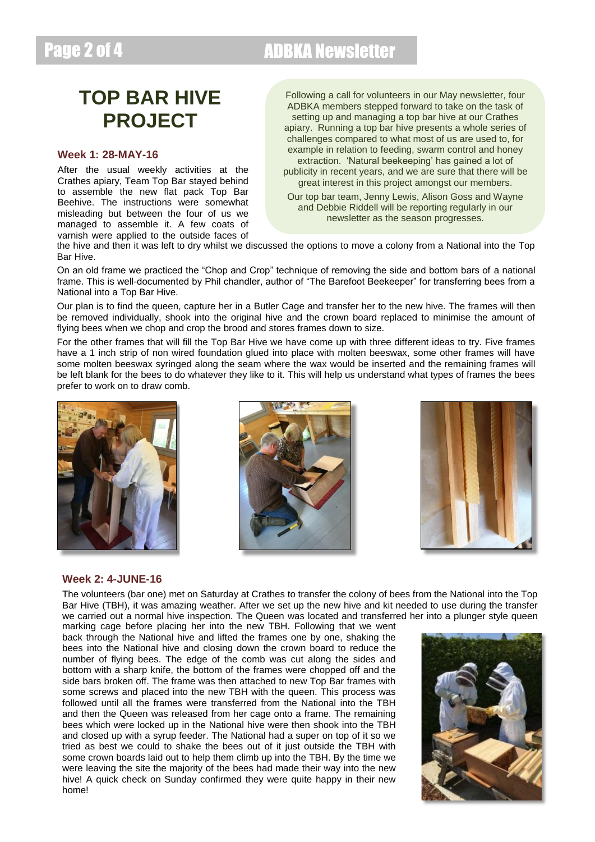# Page 2 of 4 ADBKA Newsletter

# **TOP BAR HIVE PROJECT**

#### **Week 1: 28-MAY-16**

After the usual weekly activities at the Crathes apiary, Team Top Bar stayed behind to assemble the new flat pack Top Bar Beehive. The instructions were somewhat misleading but between the four of us we managed to assemble it. A few coats of varnish were applied to the outside faces of

Following a call for volunteers in our May newsletter, four ADBKA members stepped forward to take on the task of setting up and managing a top bar hive at our Crathes apiary. Running a top bar hive presents a whole series of challenges compared to what most of us are used to, for example in relation to feeding, swarm control and honey extraction. 'Natural beekeeping' has gained a lot of

publicity in recent years, and we are sure that there will be great interest in this project amongst our members.

Our top bar team, Jenny Lewis, Alison Goss and Wayne and Debbie Riddell will be reporting regularly in our newsletter as the season progresses.

the hive and then it was left to dry whilst we discussed the options to move a colony from a National into the Top Bar Hive.

On an old frame we practiced the "Chop and Crop" technique of removing the side and bottom bars of a national frame. This is well-documented by Phil chandler, author of "The Barefoot Beekeeper" for transferring bees from a National into a Top Bar Hive.

Our plan is to find the queen, capture her in a Butler Cage and transfer her to the new hive. The frames will then be removed individually, shook into the original hive and the crown board replaced to minimise the amount of flying bees when we chop and crop the brood and stores frames down to size.

For the other frames that will fill the Top Bar Hive we have come up with three different ideas to try. Five frames have a 1 inch strip of non wired foundation glued into place with molten beeswax, some other frames will have some molten beeswax syringed along the seam where the wax would be inserted and the remaining frames will be left blank for the bees to do whatever they like to it. This will help us understand what types of frames the bees prefer to work on to draw comb.







#### **Week 2: 4-JUNE-16**

The volunteers (bar one) met on Saturday at Crathes to transfer the colony of bees from the National into the Top Bar Hive (TBH), it was amazing weather. After we set up the new hive and kit needed to use during the transfer we carried out a normal hive inspection. The Queen was located and transferred her into a plunger style queen

marking cage before placing her into the new TBH. Following that we went back through the National hive and lifted the frames one by one, shaking the bees into the National hive and closing down the crown board to reduce the number of flying bees. The edge of the comb was cut along the sides and bottom with a sharp knife, the bottom of the frames were chopped off and the side bars broken off. The frame was then attached to new Top Bar frames with some screws and placed into the new TBH with the queen. This process was followed until all the frames were transferred from the National into the TBH and then the Queen was released from her cage onto a frame. The remaining bees which were locked up in the National hive were then shook into the TBH and closed up with a syrup feeder. The National had a super on top of it so we tried as best we could to shake the bees out of it just outside the TBH with some crown boards laid out to help them climb up into the TBH. By the time we were leaving the site the majority of the bees had made their way into the new hive! A quick check on Sunday confirmed they were quite happy in their new home!

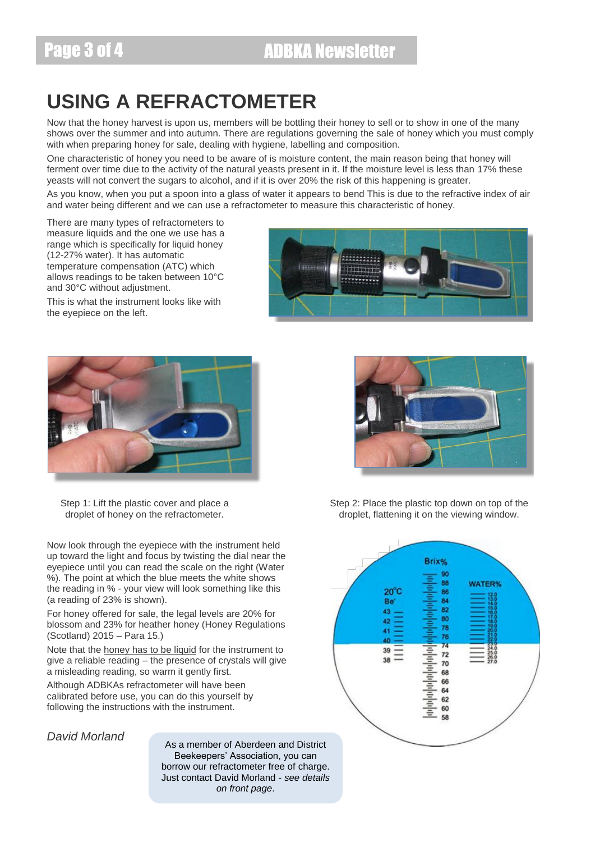# **USING A REFRACTOMETER**

Now that the honey harvest is upon us, members will be bottling their honey to sell or to show in one of the many shows over the summer and into autumn. There are regulations governing the sale of honey which you must comply with when preparing honey for sale, dealing with hygiene, labelling and composition.

One characteristic of honey you need to be aware of is moisture content, the main reason being that honey will ferment over time due to the activity of the natural yeasts present in it. If the moisture level is less than 17% these yeasts will not convert the sugars to alcohol, and if it is over 20% the risk of this happening is greater.

As you know, when you put a spoon into a glass of water it appears to bend This is due to the refractive index of air and water being different and we can use a refractometer to measure this characteristic of honey.

There are many types of refractometers to measure liquids and the one we use has a range which is specifically for liquid honey (12-27% water). It has automatic temperature compensation (ATC) which allows readings to be taken between 10°C and 30°C without adjustment.

This is what the instrument looks like with the eyepiece on the left.



Step 1: Lift the plastic cover and place a droplet of honey on the refractometer.

Now look through the eyepiece with the instrument held up toward the light and focus by twisting the dial near the eyepiece until you can read the scale on the right (Water %). The point at which the blue meets the white shows the reading in % - your view will look something like this (a reading of 23% is shown).

For honey offered for sale, the legal levels are 20% for blossom and 23% for heather honey (Honey Regulations (Scotland) 2015 – Para 15.)

Note that the honey has to be liquid for the instrument to give a reliable reading – the presence of crystals will give a misleading reading, so warm it gently first.

Although ADBKAs refractometer will have been calibrated before use, you can do this yourself by following the instructions with the instrument.

*David Morland*

As a member of Aberdeen and District Beekeepers' Association, you can borrow our refractometer free of charge. Just contact David Morland - *see details on front page*.





Step 2: Place the plastic top down on top of the droplet, flattening it on the viewing window.